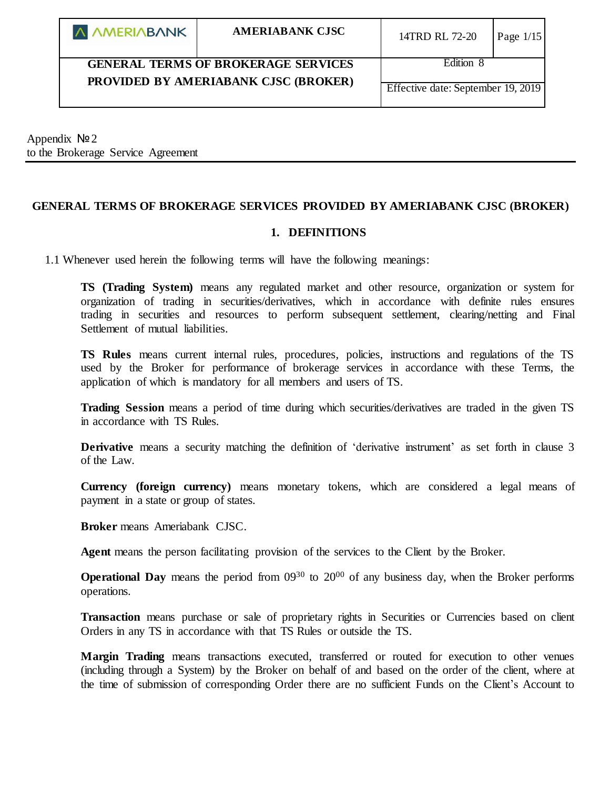| <b>A AMERIABANK</b>                        | <b>AMERIABANK CJSC</b> | 14TRD RL 72-20                     | Page $1/15$ |
|--------------------------------------------|------------------------|------------------------------------|-------------|
| <b>GENERAL TERMS OF BROKERAGE SERVICES</b> |                        | Edition 8                          |             |
| PROVIDED BY AMERIABANK CJSC (BROKER)       |                        |                                    |             |
|                                            |                        | Effective date: September 19, 2019 |             |

| Appendix $N2$                      |  |
|------------------------------------|--|
| to the Brokerage Service Agreement |  |

### **1. DEFINITIONS**

1.1 Whenever used herein the following terms will have the following meanings:

**TS (Trading System)** means any regulated market and other resource, organization or system for organization of trading in securities/derivatives, which in accordance with definite rules ensures trading in securities and resources to perform subsequent settlement, clearing/netting and Final Settlement of mutual liabilities.

**TS Rules** means current internal rules, procedures, policies, instructions and regulations of the TS used by the Broker for performance of brokerage services in accordance with these Terms, the application of which is mandatory for all members and users of TS.

**Trading Session** means a period of time during which securities/derivatives are traded in the given TS in accordance with TS Rules.

**Derivative** means a security matching the definition of 'derivative instrument' as set forth in clause 3 of the Law.

**Currency (foreign currency)** means monetary tokens, which are considered a legal means of payment in a state or group of states.

**Broker** means Ameriabank CJSC.

**Agent** means the person facilitating provision of the services to the Client by the Broker.

**Operational Day** means the period from  $0.09^{30}$  to  $20^{00}$  of any business day, when the Broker performs operations.

**Transaction** means purchase or sale of proprietary rights in Securities or Currencies based on client Orders in any TS in accordance with that TS Rules or outside the TS.

**Margin Trading** means transactions executed, transferred or routed for execution to other venues (including through a System) by the Broker on behalf of and based on the order of the client, where at the time of submission of corresponding Order there are no sufficient Funds on the Client's Account to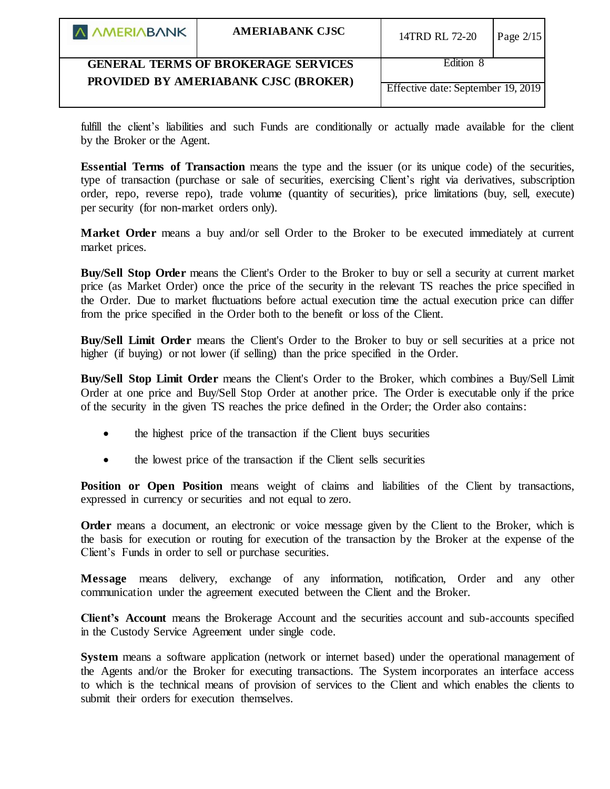| A AMERIABANK                               | <b>AMERIABANK CJSC</b> | 14TRD RL 72-20                     | Page $2/15$ |
|--------------------------------------------|------------------------|------------------------------------|-------------|
| <b>GENERAL TERMS OF BROKERAGE SERVICES</b> |                        | Edition 8                          |             |
| PROVIDED BY AMERIABANK CJSC (BROKER)       |                        | Effective date: September 19, 2019 |             |

fulfill the client's liabilities and such Funds are conditionally or actually made available for the client by the Broker or the Agent.

**Essential Terms of Transaction** means the type and the issuer (or its unique code) of the securities, type of transaction (purchase or sale of securities, exercising Client's right via derivatives, subscription order, repo, reverse repo), trade volume (quantity of securities), price limitations (buy, sell, execute) per security (for non-market orders only).

**Market Order** means a buy and/or sell Order to the Broker to be executed immediately at current market prices.

**Buy/Sell Stop Order** means the Client's Order to the Broker to buy or sell a security at current market price (as Market Order) once the price of the security in the relevant TS reaches the price specified in the Order. Due to market fluctuations before actual execution time the actual execution price can differ from the price specified in the Order both to the benefit or loss of the Client.

**Buy/Sell Limit Order** means the Client's Order to the Broker to buy or sell securities at a price not higher (if buying) or not lower (if selling) than the price specified in the Order.

**Buy/Sell Stop Limit Order** means the Client's Order to the Broker, which combines a Buy/Sell Limit Order at one price and Buy/Sell Stop Order at another price. The Order is executable only if the price of the security in the given TS reaches the price defined in the Order; the Order also contains:

- the highest price of the transaction if the Client buys securities
- the lowest price of the transaction if the Client sells securities

**Position or Open Position** means weight of claims and liabilities of the Client by transactions, expressed in currency or securities and not equal to zero.

**Order** means a document, an electronic or voice message given by the Client to the Broker, which is the basis for execution or routing for execution of the transaction by the Broker at the expense of the Client's Funds in order to sell or purchase securities.

**Message** means delivery, exchange of any information, notification, Order and any other communication under the agreement executed between the Client and the Broker.

**Client's Account** means the Brokerage Account and the securities account and sub-accounts specified in the Custody Service Agreement under single code.

**System** means a software application (network or internet based) under the operational management of the Agents and/or the Broker for executing transactions. The System incorporates an interface access to which is the technical means of provision of services to the Client and which enables the clients to submit their orders for execution themselves.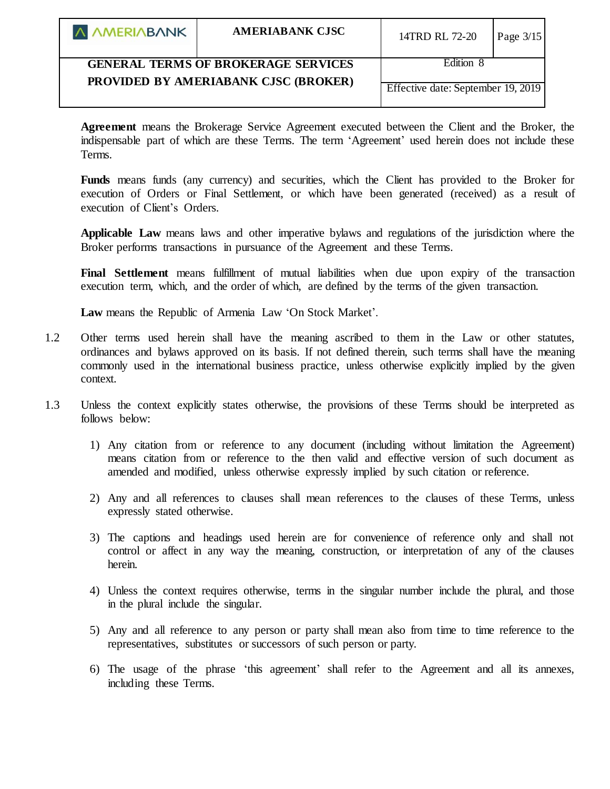| A AMERIABANK                               | <b>AMERIABANK CJSC</b> | 14TRD RL 72-20                     | Page $3/15$ |
|--------------------------------------------|------------------------|------------------------------------|-------------|
| <b>GENERAL TERMS OF BROKERAGE SERVICES</b> |                        | Edition 8                          |             |
| PROVIDED BY AMERIABANK CJSC (BROKER)       |                        | Effective date: September 19, 2019 |             |

**Agreement** means the Brokerage Service Agreement executed between the Client and the Broker, the indispensable part of which are these Terms. The term 'Agreement' used herein does not include these Terms.

Funds means funds (any currency) and securities, which the Client has provided to the Broker for execution of Orders or Final Settlement, or which have been generated (received) as a result of execution of Client's Orders.

**Applicable Law** means laws and other imperative bylaws and regulations of the jurisdiction where the Broker performs transactions in pursuance of the Agreement and these Terms.

**Final Settlement** means fulfillment of mutual liabilities when due upon expiry of the transaction execution term, which, and the order of which, are defined by the terms of the given transaction.

Law means the Republic of Armenia Law 'On Stock Market'.

- 1.2 Other terms used herein shall have the meaning ascribed to them in the Law or other statutes, ordinances and bylaws approved on its basis. If not defined therein, such terms shall have the meaning commonly used in the international business practice, unless otherwise explicitly implied by the given context.
- 1.3 Unless the context explicitly states otherwise, the provisions of these Terms should be interpreted as follows below:
	- 1) Any citation from or reference to any document (including without limitation the Agreement) means citation from or reference to the then valid and effective version of such document as amended and modified, unless otherwise expressly implied by such citation or reference.
	- 2) Any and all references to clauses shall mean references to the clauses of these Terms, unless expressly stated otherwise.
	- 3) The captions and headings used herein are for convenience of reference only and shall not control or affect in any way the meaning, construction, or interpretation of any of the clauses herein.
	- 4) Unless the context requires otherwise, terms in the singular number include the plural, and those in the plural include the singular.
	- 5) Any and all reference to any person or party shall mean also from time to time reference to the representatives, substitutes or successors of such person or party.
	- 6) The usage of the phrase 'this agreement' shall refer to the Agreement and all its annexes, including these Terms.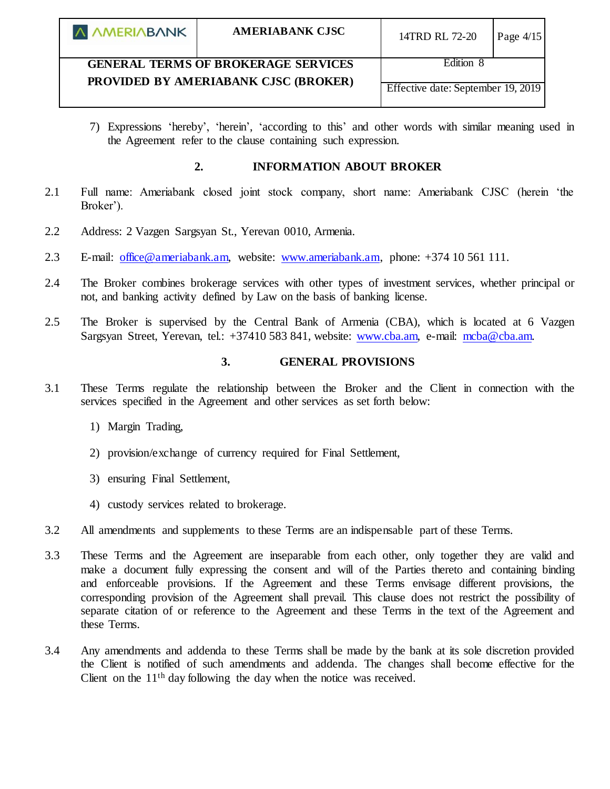|  |  |  | A AMERIABANK |
|--|--|--|--------------|
|--|--|--|--------------|

Edition 8

7) Expressions 'hereby', 'herein', 'according to this' and other words with similar meaning used in the Agreement refer to the clause containing such expression.

## **2. INFORMATION ABOUT BROKER**

- 2.1 Full name: Ameriabank closed joint stock company, short name: Ameriabank CJSC (herein 'the Broker').
- 2.2 Address: 2 Vazgen Sargsyan St., Yerevan 0010, Armenia.
- 2.3 E-mail: [office@ameriabank.am,](mailto:office@ameriabank.am) website: [www.ameriabank.am,](http://www.ameriabank.am/) phone: +374 10 561 111.
- 2.4 The Broker combines brokerage services with other types of investment services, whether principal or not, and banking activity defined by Law on the basis of banking license.
- 2.5 The Broker is supervised by the Central Bank of Armenia (CBA), which is located at 6 Vazgen Sargsyan Street, Yerevan, tel.: +37410 583 841, website: [www.cba.am,](http://www.cba.am/) e-mail: [mcba@cba.am.](mailto:mcba@cba.am)

## **3. GENERAL PROVISIONS**

- 3.1 These Terms regulate the relationship between the Broker and the Client in connection with the services specified in the Agreement and other services as set forth below:
	- 1) Margin Trading,
	- 2) provision/exchange of currency required for Final Settlement,
	- 3) ensuring Final Settlement,
	- 4) custody services related to brokerage.
- 3.2 All amendments and supplements to these Terms are an indispensable part of these Terms.
- 3.3 These Terms and the Agreement are inseparable from each other, only together they are valid and make a document fully expressing the consent and will of the Parties thereto and containing binding and enforceable provisions. If the Agreement and these Terms envisage different provisions, the corresponding provision of the Agreement shall prevail. This clause does not restrict the possibility of separate citation of or reference to the Agreement and these Terms in the text of the Agreement and these Terms.
- 3.4 Any amendments and addenda to these Terms shall be made by the bank at its sole discretion provided the Client is notified of such amendments and addenda. The changes shall become effective for the Client on the  $11<sup>th</sup>$  day following the day when the notice was received.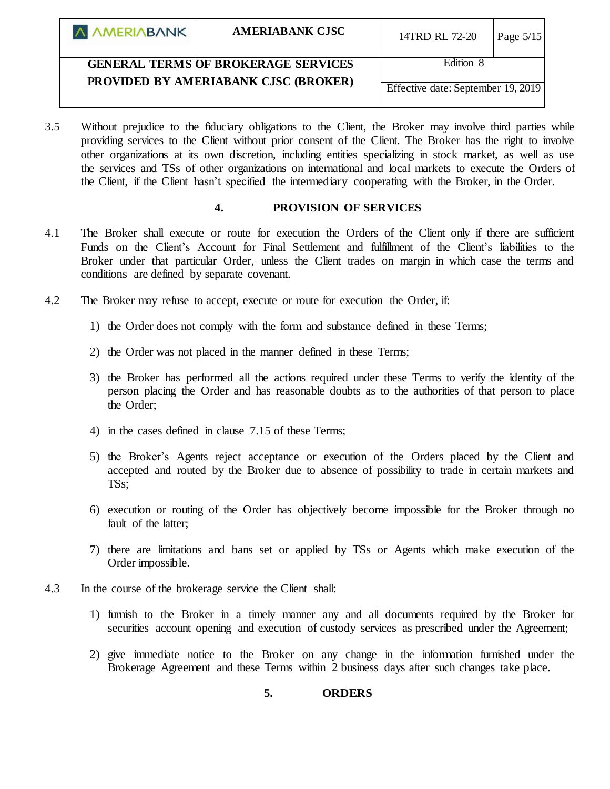| A AMERIABANK                               | <b>AMERIABANK CJSC</b>                                                     | 14TRD RL 72-20 | Page $5/15$ |
|--------------------------------------------|----------------------------------------------------------------------------|----------------|-------------|
| <b>GENERAL TERMS OF BROKERAGE SERVICES</b> |                                                                            | Edition 8      |             |
|                                            | PROVIDED BY AMERIABANK CJSC (BROKER)<br>Effective date: September 19, 2019 |                |             |

3.5 Without prejudice to the fiduciary obligations to the Client, the Broker may involve third parties while providing services to the Client without prior consent of the Client. The Broker has the right to involve other organizations at its own discretion, including entities specializing in stock market, as well as use the services and TSs of other organizations on international and local markets to execute the Orders of the Client, if the Client hasn't specified the intermediary cooperating with the Broker, in the Order.

### **4. PROVISION OF SERVICES**

- 4.1 The Broker shall execute or route for execution the Orders of the Client only if there are sufficient Funds on the Client's Account for Final Settlement and fulfillment of the Client's liabilities to the Broker under that particular Order, unless the Client trades on margin in which case the terms and conditions are defined by separate covenant.
- 4.2 The Broker may refuse to accept, execute or route for execution the Order, if:
	- 1) the Order does not comply with the form and substance defined in these Terms;
	- 2) the Order was not placed in the manner defined in these Terms;
	- 3) the Broker has performed all the actions required under these Terms to verify the identity of the person placing the Order and has reasonable doubts as to the authorities of that person to place the Order;
	- 4) in the cases defined in clause 7.15 of these Terms;
	- 5) the Broker's Agents reject acceptance or execution of the Orders placed by the Client and accepted and routed by the Broker due to absence of possibility to trade in certain markets and TSs;
	- 6) execution or routing of the Order has objectively become impossible for the Broker through no fault of the latter;
	- 7) there are limitations and bans set or applied by TSs or Agents which make execution of the Order impossible.
- 4.3 In the course of the brokerage service the Client shall:
	- 1) furnish to the Broker in a timely manner any and all documents required by the Broker for securities account opening and execution of custody services as prescribed under the Agreement;
	- 2) give immediate notice to the Broker on any change in the information furnished under the Brokerage Agreement and these Terms within 2 business days after such changes take place.

### **5. ORDERS**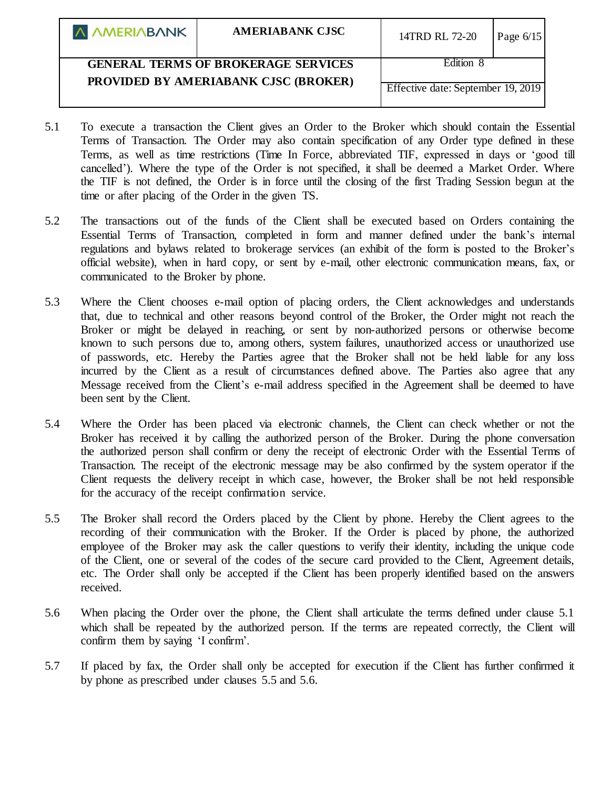| <b>A AMERIABANK</b><br><b>AMERIABANK CJSC</b>                              |  | 14TRD RL 72-20 | Page $6/15$ |
|----------------------------------------------------------------------------|--|----------------|-------------|
| <b>GENERAL TERMS OF BROKERAGE SERVICES</b>                                 |  | Edition 8      |             |
| PROVIDED BY AMERIABANK CJSC (BROKER)<br>Effective date: September 19, 2019 |  |                |             |

- 5.1 To execute a transaction the Client gives an Order to the Broker which should contain the Essential Terms of Transaction. The Order may also contain specification of any Order type defined in these Terms, as well as time restrictions (Time In Force, abbreviated TIF, expressed in days or 'good till cancelled'). Where the type of the Order is not specified, it shall be deemed a Market Order. Where the TIF is not defined, the Order is in force until the closing of the first Trading Session begun at the time or after placing of the Order in the given TS.
- 5.2 The transactions out of the funds of the Client shall be executed based on Orders containing the Essential Terms of Transaction, completed in form and manner defined under the bank's internal regulations and bylaws related to brokerage services (an exhibit of the form is posted to the Broker's official website), when in hard copy, or sent by e-mail, other electronic communication means, fax, or communicated to the Broker by phone.
- 5.3 Where the Client chooses e-mail option of placing orders, the Client acknowledges and understands that, due to technical and other reasons beyond control of the Broker, the Order might not reach the Broker or might be delayed in reaching, or sent by non-authorized persons or otherwise become known to such persons due to, among others, system failures, unauthorized access or unauthorized use of passwords, etc. Hereby the Parties agree that the Broker shall not be held liable for any loss incurred by the Client as a result of circumstances defined above. The Parties also agree that any Message received from the Client's e-mail address specified in the Agreement shall be deemed to have been sent by the Client.
- 5.4 Where the Order has been placed via electronic channels, the Client can check whether or not the Broker has received it by calling the authorized person of the Broker. During the phone conversation the authorized person shall confirm or deny the receipt of electronic Order with the Essential Terms of Transaction. The receipt of the electronic message may be also confirmed by the system operator if the Client requests the delivery receipt in which case, however, the Broker shall be not held responsible for the accuracy of the receipt confirmation service.
- 5.5 The Broker shall record the Orders placed by the Client by phone. Hereby the Client agrees to the recording of their communication with the Broker. If the Order is placed by phone, the authorized employee of the Broker may ask the caller questions to verify their identity, including the unique code of the Client, one or several of the codes of the secure card provided to the Client, Agreement details, etc. The Order shall only be accepted if the Client has been properly identified based on the answers received.
- 5.6 When placing the Order over the phone, the Client shall articulate the terms defined under clause 5.1 which shall be repeated by the authorized person. If the terms are repeated correctly, the Client will confirm them by saying 'I confirm'.
- 5.7 If placed by fax, the Order shall only be accepted for execution if the Client has further confirmed it by phone as prescribed under clauses 5.5 and 5.6.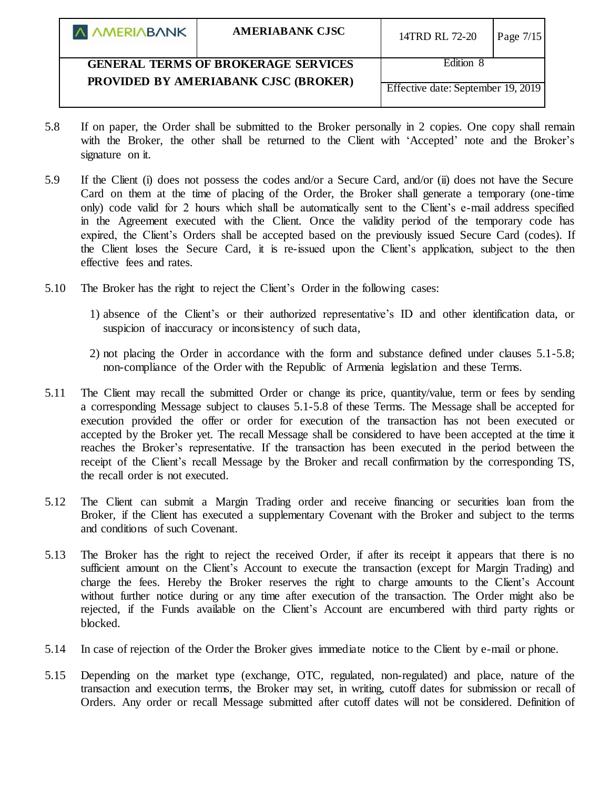| A AMERIABANK                               | <b>AMERIABANK CJSC</b> | 14TRD RL 72-20                     | Page $7/15$ |
|--------------------------------------------|------------------------|------------------------------------|-------------|
| <b>GENERAL TERMS OF BROKERAGE SERVICES</b> |                        | Edition 8                          |             |
| PROVIDED BY AMERIABANK CJSC (BROKER)       |                        |                                    |             |
|                                            |                        | Effective date: September 19, 2019 |             |

- 5.8 If on paper, the Order shall be submitted to the Broker personally in 2 copies. One copy shall remain with the Broker, the other shall be returned to the Client with 'Accepted' note and the Broker's signature on it.
- 5.9 If the Client (i) does not possess the codes and/or a Secure Card, and/or (ii) does not have the Secure Card on them at the time of placing of the Order, the Broker shall generate a temporary (one-time only) code valid for 2 hours which shall be automatically sent to the Client's e-mail address specified in the Agreement executed with the Client. Once the validity period of the temporary code has expired, the Client's Orders shall be accepted based on the previously issued Secure Card (codes). If the Client loses the Secure Card, it is re-issued upon the Client's application, subject to the then effective fees and rates.
- 5.10 The Broker has the right to reject the Client's Order in the following cases:
	- 1) absence of the Client's or their authorized representative's ID and other identification data, or suspicion of inaccuracy or inconsistency of such data,
	- 2) not placing the Order in accordance with the form and substance defined under clauses 5.1-5.8; non-compliance of the Order with the Republic of Armenia legislation and these Terms.
- 5.11 The Client may recall the submitted Order or change its price, quantity/value, term or fees by sending a corresponding Message subject to clauses 5.1-5.8 of these Terms. The Message shall be accepted for execution provided the offer or order for execution of the transaction has not been executed or accepted by the Broker yet. The recall Message shall be considered to have been accepted at the time it reaches the Broker's representative. If the transaction has been executed in the period between the receipt of the Client's recall Message by the Broker and recall confirmation by the corresponding TS, the recall order is not executed.
- 5.12 The Client can submit a Margin Trading order and receive financing or securities loan from the Broker, if the Client has executed a supplementary Covenant with the Broker and subject to the terms and conditions of such Covenant.
- 5.13 The Broker has the right to reject the received Order, if after its receipt it appears that there is no sufficient amount on the Client's Account to execute the transaction (except for Margin Trading) and charge the fees. Hereby the Broker reserves the right to charge amounts to the Client's Account without further notice during or any time after execution of the transaction. The Order might also be rejected, if the Funds available on the Client's Account are encumbered with third party rights or blocked.
- 5.14 In case of rejection of the Order the Broker gives immediate notice to the Client by e-mail or phone.
- 5.15 Depending on the market type (exchange, OTC, regulated, non-regulated) and place, nature of the transaction and execution terms, the Broker may set, in writing, cutoff dates for submission or recall of Orders. Any order or recall Message submitted after cutoff dates will not be considered. Definition of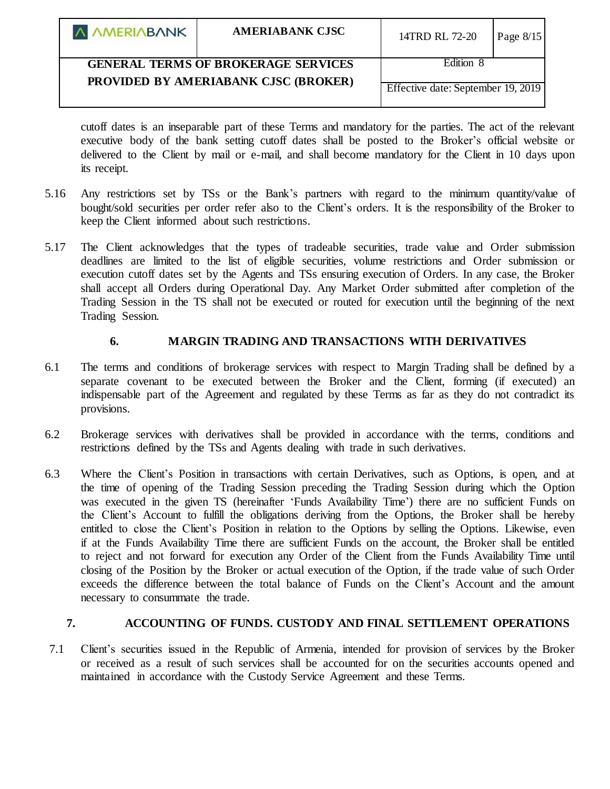| <b>A AMERIABANK</b>                        | <b>AMERIABANK CJSC</b> | 14TRD RL 72-20                     | Page $8/15$ |
|--------------------------------------------|------------------------|------------------------------------|-------------|
| <b>GENERAL TERMS OF BROKERAGE SERVICES</b> |                        | Edition 8                          |             |
| PROVIDED BY AMERIABANK CJSC (BROKER)       |                        | Effective date: September 19, 2019 |             |

cutoff dates is an inseparable part of these Terms and mandatory for the parties. The act of the relevant executive body of the bank setting cutoff dates shall be posted to the Broker's official website or delivered to the Client by mail or e-mail, and shall become mandatory for the Client in 10 days upon its receipt.

- 5.16 Any restrictions set by TSs or the Bank's partners with regard to the minimum quantity/value of bought/sold securities per order refer also to the Client's orders. It is the responsibility of the Broker to keep the Client informed about such restrictions.
- 5.17 The Client acknowledges that the types of tradeable securities, trade value and Order submission deadlines are limited to the list of eligible securities, volume restrictions and Order submission or execution cutoff dates set by the Agents and TSs ensuring execution of Orders. In any case, the Broker shall accept all Orders during Operational Day. Any Market Order submitted after completion of the Trading Session in the TS shall not be executed or routed for execution until the beginning of the next Trading Session.

### **6. MARGIN TRADING AND TRANSACTIONS WITH DERIVATIVES**

- 6.1 The terms and conditions of brokerage services with respect to Margin Trading shall be defined by a separate covenant to be executed between the Broker and the Client, forming (if executed) an indispensable part of the Agreement and regulated by these Terms as far as they do not contradict its provisions.
- 6.2 Brokerage services with derivatives shall be provided in accordance with the terms, conditions and restrictions defined by the TSs and Agents dealing with trade in such derivatives.
- 6.3 Where the Client's Position in transactions with certain Derivatives, such as Options, is open, and at the time of opening of the Trading Session preceding the Trading Session during which the Option was executed in the given TS (hereinafter 'Funds Availability Time') there are no sufficient Funds on the Client's Account to fulfill the obligations deriving from the Options, the Broker shall be hereby entitled to close the Client's Position in relation to the Options by selling the Options. Likewise, even if at the Funds Availability Time there are sufficient Funds on the account, the Broker shall be entitled to reject and not forward for execution any Order of the Client from the Funds Availability Time until closing of the Position by the Broker or actual execution of the Option, if the trade value of such Order exceeds the difference between the total balance of Funds on the Client's Account and the amount necessary to consummate the trade.

### **7. ACCOUNTING OF FUNDS. CUSTODY AND FINAL SETTLEMENT OPERATIONS**

7.1 Client's securities issued in the Republic of Armenia, intended for provision of services by the Broker or received as a result of such services shall be accounted for on the securities accounts opened and maintained in accordance with the Custody Service Agreement and these Terms.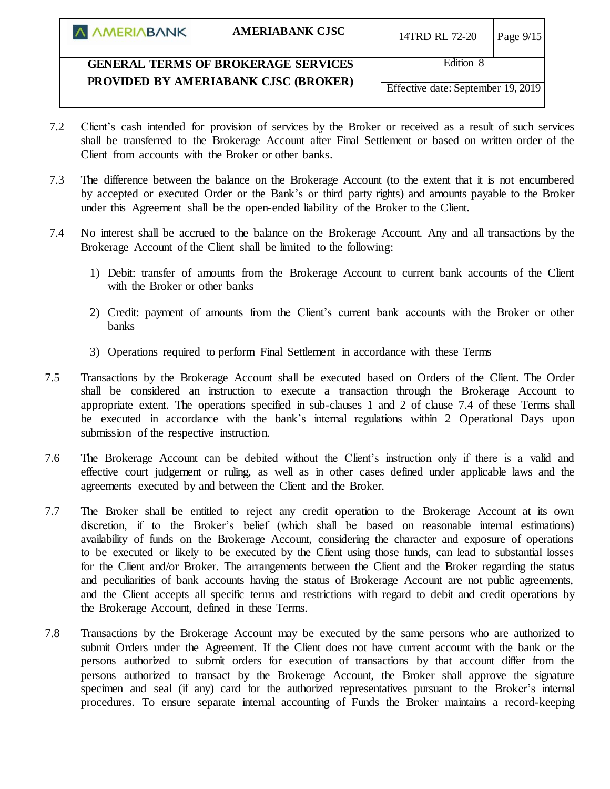|  |  | <b>A AMERIABANK</b> |
|--|--|---------------------|
|--|--|---------------------|

Edition 8

- 7.2 Client's cash intended for provision of services by the Broker or received as a result of such services shall be transferred to the Brokerage Account after Final Settlement or based on written order of the Client from accounts with the Broker or other banks.
- 7.3 The difference between the balance on the Brokerage Account (to the extent that it is not encumbered by accepted or executed Order or the Bank's or third party rights) and amounts payable to the Broker under this Agreement shall be the open-ended liability of the Broker to the Client.
- 7.4 No interest shall be accrued to the balance on the Brokerage Account. Any and all transactions by the Brokerage Account of the Client shall be limited to the following:
	- 1) Debit: transfer of amounts from the Brokerage Account to current bank accounts of the Client with the Broker or other banks
	- 2) Credit: payment of amounts from the Client's current bank accounts with the Broker or other banks
	- 3) Operations required to perform Final Settlement in accordance with these Terms
- 7.5 Transactions by the Brokerage Account shall be executed based on Orders of the Client. The Order shall be considered an instruction to execute a transaction through the Brokerage Account to appropriate extent. The operations specified in sub-clauses 1 and 2 of clause 7.4 of these Terms shall be executed in accordance with the bank's internal regulations within 2 Operational Days upon submission of the respective instruction.
- 7.6 The Brokerage Account can be debited without the Client's instruction only if there is a valid and effective court judgement or ruling, as well as in other cases defined under applicable laws and the agreements executed by and between the Client and the Broker.
- 7.7 The Broker shall be entitled to reject any credit operation to the Brokerage Account at its own discretion, if to the Broker's belief (which shall be based on reasonable internal estimations) availability of funds on the Brokerage Account, considering the character and exposure of operations to be executed or likely to be executed by the Client using those funds, can lead to substantial losses for the Client and/or Broker. The arrangements between the Client and the Broker regarding the status and peculiarities of bank accounts having the status of Brokerage Account are not public agreements, and the Client accepts all specific terms and restrictions with regard to debit and credit operations by the Brokerage Account, defined in these Terms.
- 7.8 Transactions by the Brokerage Account may be executed by the same persons who are authorized to submit Orders under the Agreement. If the Client does not have current account with the bank or the persons authorized to submit orders for execution of transactions by that account differ from the persons authorized to transact by the Brokerage Account, the Broker shall approve the signature specimen and seal (if any) card for the authorized representatives pursuant to the Broker's internal procedures. To ensure separate internal accounting of Funds the Broker maintains a record-keeping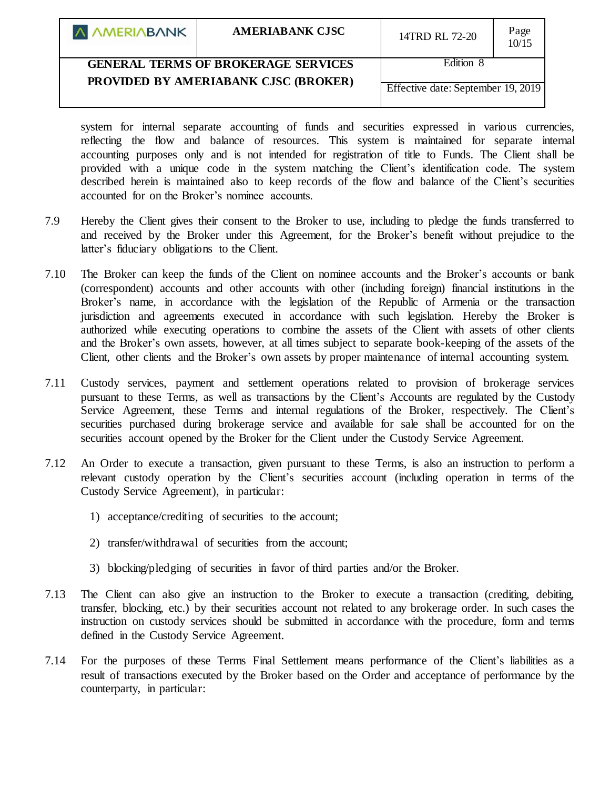|  | <b>A AMERIABANK</b> |  |
|--|---------------------|--|
|--|---------------------|--|

Effective date: September 19, 2019

Edition 8

system for internal separate accounting of funds and securities expressed in various currencies, reflecting the flow and balance of resources. This system is maintained for separate internal accounting purposes only and is not intended for registration of title to Funds. The Client shall be provided with a unique code in the system matching the Client's identification code. The system described herein is maintained also to keep records of the flow and balance of the Client's securities accounted for on the Broker's nominee accounts.

- 7.9 Hereby the Client gives their consent to the Broker to use, including to pledge the funds transferred to and received by the Broker under this Agreement, for the Broker's benefit without prejudice to the latter's fiduciary obligations to the Client.
- 7.10 The Broker can keep the funds of the Client on nominee accounts and the Broker's accounts or bank (correspondent) accounts and other accounts with other (including foreign) financial institutions in the Broker's name, in accordance with the legislation of the Republic of Armenia or the transaction jurisdiction and agreements executed in accordance with such legislation. Hereby the Broker is authorized while executing operations to combine the assets of the Client with assets of other clients and the Broker's own assets, however, at all times subject to separate book-keeping of the assets of the Client, other clients and the Broker's own assets by proper maintenance of internal accounting system.
- 7.11 Custody services, payment and settlement operations related to provision of brokerage services pursuant to these Terms, as well as transactions by the Client's Accounts are regulated by the Custody Service Agreement, these Terms and internal regulations of the Broker, respectively. The Client's securities purchased during brokerage service and available for sale shall be accounted for on the securities account opened by the Broker for the Client under the Custody Service Agreement.
- 7.12 An Order to execute a transaction, given pursuant to these Terms, is also an instruction to perform a relevant custody operation by the Client's securities account (including operation in terms of the Custody Service Agreement), in particular:
	- 1) acceptance/crediting of securities to the account;
	- 2) transfer/withdrawal of securities from the account;
	- 3) blocking/pledging of securities in favor of third parties and/or the Broker.
- 7.13 The Client can also give an instruction to the Broker to execute a transaction (crediting, debiting, transfer, blocking, etc.) by their securities account not related to any brokerage order. In such cases the instruction on custody services should be submitted in accordance with the procedure, form and terms defined in the Custody Service Agreement.
- 7.14 For the purposes of these Terms Final Settlement means performance of the Client's liabilities as a result of transactions executed by the Broker based on the Order and acceptance of performance by the counterparty, in particular: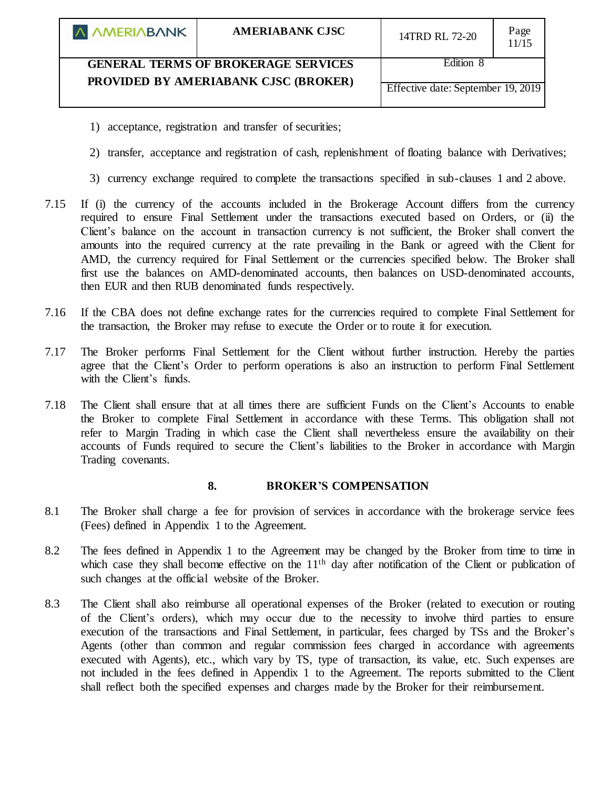

Effective date: September 19, 2019

Edition 8

- 1) acceptance, registration and transfer of securities;
- 2) transfer, acceptance and registration of cash, replenishment of floating balance with Derivatives;
- 3) currency exchange required to complete the transactions specified in sub-clauses 1 and 2 above.
- 7.15 If (i) the currency of the accounts included in the Brokerage Account differs from the currency required to ensure Final Settlement under the transactions executed based on Orders, or (ii) the Client's balance on the account in transaction currency is not sufficient, the Broker shall convert the amounts into the required currency at the rate prevailing in the Bank or agreed with the Client for AMD, the currency required for Final Settlement or the currencies specified below. The Broker shall first use the balances on AMD-denominated accounts, then balances on USD-denominated accounts, then EUR and then RUB denominated funds respectively.
- 7.16 If the CBA does not define exchange rates for the currencies required to complete Final Settlement for the transaction, the Broker may refuse to execute the Order or to route it for execution.
- 7.17 The Broker performs Final Settlement for the Client without further instruction. Hereby the parties agree that the Client's Order to perform operations is also an instruction to perform Final Settlement with the Client's funds.
- 7.18 The Client shall ensure that at all times there are sufficient Funds on the Client's Accounts to enable the Broker to complete Final Settlement in accordance with these Terms. This obligation shall not refer to Margin Trading in which case the Client shall nevertheless ensure the availability on their accounts of Funds required to secure the Client's liabilities to the Broker in accordance with Margin Trading covenants.

### **8. BROKER'S COMPENSATION**

- 8.1 The Broker shall charge a fee for provision of services in accordance with the brokerage service fees (Fees) defined in Appendix 1 to the Agreement.
- 8.2 The fees defined in Appendix 1 to the Agreement may be changed by the Broker from time to time in which case they shall become effective on the 11<sup>th</sup> day after notification of the Client or publication of such changes at the official website of the Broker.
- 8.3 The Client shall also reimburse all operational expenses of the Broker (related to execution or routing of the Client's orders), which may occur due to the necessity to involve third parties to ensure execution of the transactions and Final Settlement, in particular, fees charged by TSs and the Broker's Agents (other than common and regular commission fees charged in accordance with agreements executed with Agents), etc., which vary by TS, type of transaction, its value, etc. Such expenses are not included in the fees defined in Appendix 1 to the Agreement. The reports submitted to the Client shall reflect both the specified expenses and charges made by the Broker for their reimbursement.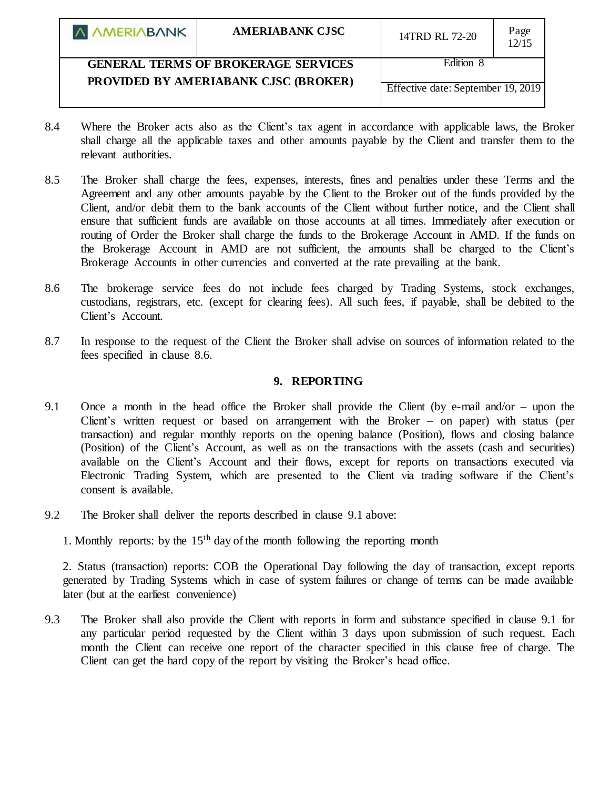| <b>A AMERIABANK</b>                        | AMERIABANK CJSC | 14TRD RL 72-20                     | Page<br>12/15 |
|--------------------------------------------|-----------------|------------------------------------|---------------|
| <b>GENERAL TERMS OF BROKERAGE SERVICES</b> |                 | Edition 8                          |               |
| PROVIDED BY AMERIABANK CJSC (BROKER)       |                 |                                    |               |
|                                            |                 | Effective date: September 19, 2019 |               |
|                                            |                 |                                    |               |

- 8.4 Where the Broker acts also as the Client's tax agent in accordance with applicable laws, the Broker shall charge all the applicable taxes and other amounts payable by the Client and transfer them to the relevant authorities.
- 8.5 The Broker shall charge the fees, expenses, interests, fines and penalties under these Terms and the Agreement and any other amounts payable by the Client to the Broker out of the funds provided by the Client, and/or debit them to the bank accounts of the Client without further notice, and the Client shall ensure that sufficient funds are available on those accounts at all times. Immediately after execution or routing of Order the Broker shall charge the funds to the Brokerage Account in AMD. If the funds on the Brokerage Account in AMD are not sufficient, the amounts shall be charged to the Client's Brokerage Accounts in other currencies and converted at the rate prevailing at the bank.
- 8.6 The brokerage service fees do not include fees charged by Trading Systems, stock exchanges, custodians, registrars, etc. (except for clearing fees). All such fees, if payable, shall be debited to the Client's Account.
- 8.7 In response to the request of the Client the Broker shall advise on sources of information related to the fees specified in clause 8.6.

### **9. REPORTING**

- 9.1 Once a month in the head office the Broker shall provide the Client (by e-mail and/or upon the Client's written request or based on arrangement with the Broker – on paper) with status (per transaction) and regular monthly reports on the opening balance (Position), flows and closing balance (Position) of the Client's Account, as well as on the transactions with the assets (cash and securities) available on the Client's Account and their flows, except for reports on transactions executed via Electronic Trading System, which are presented to the Client via trading software if the Client's consent is available.
- 9.2 The Broker shall deliver the reports described in clause 9.1 above:
	- 1. Monthly reports: by the  $15<sup>th</sup>$  day of the month following the reporting month

2. Status (transaction) reports: COB the Operational Day following the day of transaction, except reports generated by Trading Systems which in case of system failures or change of terms can be made available later (but at the earliest convenience)

9.3 The Broker shall also provide the Client with reports in form and substance specified in clause 9.1 for any particular period requested by the Client within 3 days upon submission of such request. Each month the Client can receive one report of the character specified in this clause free of charge. The Client can get the hard copy of the report by visiting the Broker's head office.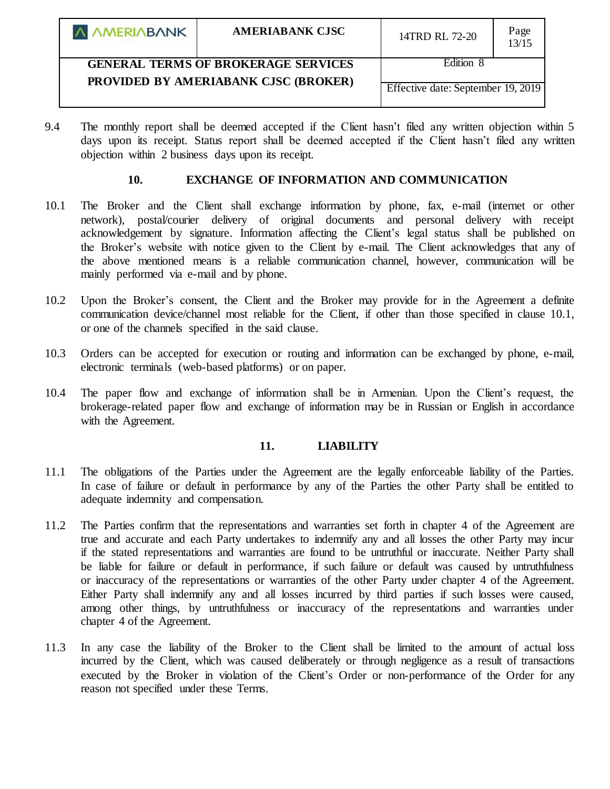|  | A AMERIABANK |  |
|--|--------------|--|
|--|--------------|--|

- Effective date: September 19, 2019
- 9.4 The monthly report shall be deemed accepted if the Client hasn't filed any written objection within 5 days upon its receipt. Status report shall be deemed accepted if the Client hasn't filed any written objection within 2 business days upon its receipt.

## **10. EXCHANGE OF INFORMATION AND COMMUNICATION**

- 10.1 The Broker and the Client shall exchange information by phone, fax, e-mail (internet or other network), postal/courier delivery of original documents and personal delivery with receipt acknowledgement by signature. Information affecting the Client's legal status shall be published on the Broker's website with notice given to the Client by e-mail. The Client acknowledges that any of the above mentioned means is a reliable communication channel, however, communication will be mainly performed via e-mail and by phone.
- 10.2 Upon the Broker's consent, the Client and the Broker may provide for in the Agreement a definite communication device/channel most reliable for the Client, if other than those specified in clause 10.1, or one of the channels specified in the said clause.
- 10.3 Orders can be accepted for execution or routing and information can be exchanged by phone, e-mail, electronic terminals (web-based platforms) or on paper.
- 10.4 The paper flow and exchange of information shall be in Armenian. Upon the Client's request, the brokerage-related paper flow and exchange of information may be in Russian or English in accordance with the Agreement.

## **11. LIABILITY**

- 11.1 The obligations of the Parties under the Agreement are the legally enforceable liability of the Parties. In case of failure or default in performance by any of the Parties the other Party shall be entitled to adequate indemnity and compensation.
- 11.2 The Parties confirm that the representations and warranties set forth in chapter 4 of the Agreement are true and accurate and each Party undertakes to indemnify any and all losses the other Party may incur if the stated representations and warranties are found to be untruthful or inaccurate. Neither Party shall be liable for failure or default in performance, if such failure or default was caused by untruthfulness or inaccuracy of the representations or warranties of the other Party under chapter 4 of the Agreement. Either Party shall indemnify any and all losses incurred by third parties if such losses were caused, among other things, by untruthfulness or inaccuracy of the representations and warranties under chapter 4 of the Agreement.
- 11.3 In any case the liability of the Broker to the Client shall be limited to the amount of actual loss incurred by the Client, which was caused deliberately or through negligence as a result of transactions executed by the Broker in violation of the Client's Order or non-performance of the Order for any reason not specified under these Terms.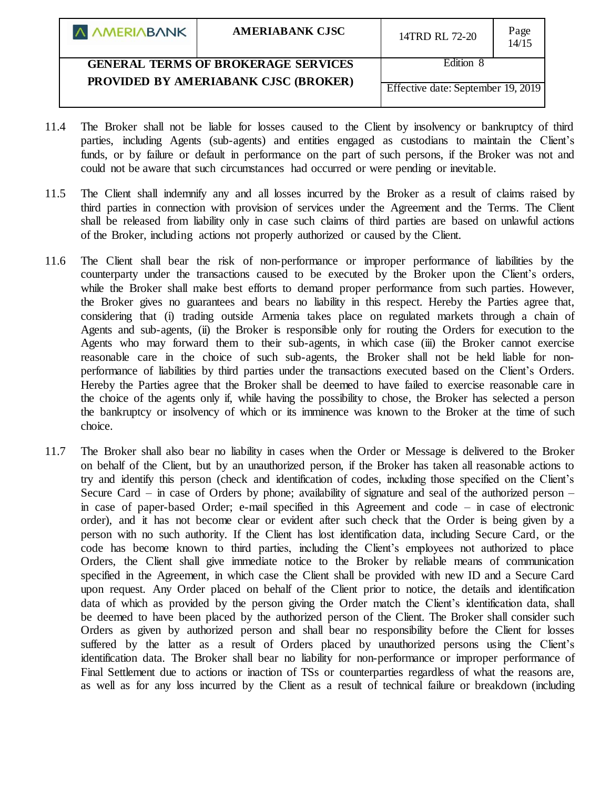|  | A AMERIABANK |  |
|--|--------------|--|
|--|--------------|--|

Edition 8

# **GENERAL TERMS OF BROKERAGE SERVICES PROVIDED BY AMERIABANK CJSC (BROKER)**

Effective date: September 19, 2019

- 11.4 The Broker shall not be liable for losses caused to the Client by insolvency or bankruptcy of third parties, including Agents (sub-agents) and entities engaged as custodians to maintain the Client's funds, or by failure or default in performance on the part of such persons, if the Broker was not and could not be aware that such circumstances had occurred or were pending or inevitable.
- 11.5 The Client shall indemnify any and all losses incurred by the Broker as a result of claims raised by third parties in connection with provision of services under the Agreement and the Terms. The Client shall be released from liability only in case such claims of third parties are based on unlawful actions of the Broker, including actions not properly authorized or caused by the Client.
- 11.6 The Client shall bear the risk of non-performance or improper performance of liabilities by the counterparty under the transactions caused to be executed by the Broker upon the Client's orders, while the Broker shall make best efforts to demand proper performance from such parties. However, the Broker gives no guarantees and bears no liability in this respect. Hereby the Parties agree that, considering that (i) trading outside Armenia takes place on regulated markets through a chain of Agents and sub-agents, (ii) the Broker is responsible only for routing the Orders for execution to the Agents who may forward them to their sub-agents, in which case (iii) the Broker cannot exercise reasonable care in the choice of such sub-agents, the Broker shall not be held liable for nonperformance of liabilities by third parties under the transactions executed based on the Client's Orders. Hereby the Parties agree that the Broker shall be deemed to have failed to exercise reasonable care in the choice of the agents only if, while having the possibility to chose, the Broker has selected a person the bankruptcy or insolvency of which or its imminence was known to the Broker at the time of such choice.
- 11.7 The Broker shall also bear no liability in cases when the Order or Message is delivered to the Broker on behalf of the Client, but by an unauthorized person, if the Broker has taken all reasonable actions to try and identify this person (check and identification of codes, including those specified on the Client's Secure Card – in case of Orders by phone; availability of signature and seal of the authorized person – in case of paper-based Order; e-mail specified in this Agreement and code – in case of electronic order), and it has not become clear or evident after such check that the Order is being given by a person with no such authority. If the Client has lost identification data, including Secure Card, or the code has become known to third parties, including the Client's employees not authorized to place Orders, the Client shall give immediate notice to the Broker by reliable means of communication specified in the Agreement, in which case the Client shall be provided with new ID and a Secure Card upon request. Any Order placed on behalf of the Client prior to notice, the details and identification data of which as provided by the person giving the Order match the Client's identification data, shall be deemed to have been placed by the authorized person of the Client. The Broker shall consider such Orders as given by authorized person and shall bear no responsibility before the Client for losses suffered by the latter as a result of Orders placed by unauthorized persons using the Client's identification data. The Broker shall bear no liability for non-performance or improper performance of Final Settlement due to actions or inaction of TSs or counterparties regardless of what the reasons are, as well as for any loss incurred by the Client as a result of technical failure or breakdown (including